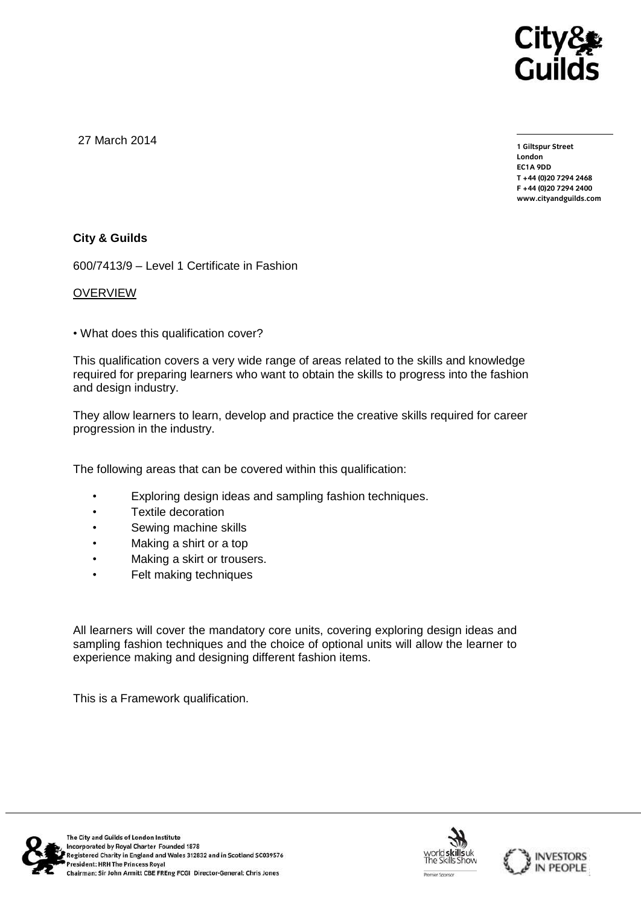

27 March 2014

**1 Giltspur Street EC1A 9DD** T +44 (0) 20 7 294 2468 **T +44 (0)20 7294 2468 F +44 (0)20 7294 2400 [www.cityandguilds.com](http://www.cityandguilds.com/)**

## **City & Guilds**

600/7413/9 – Level 1 Certificate in Fashion

#### OVERVIEW

• What does this qualification cover?

This qualification covers a very wide range of areas related to the skills and knowledge required for preparing learners who want to obtain the skills to progress into the fashion and design industry.

They allow learners to learn, develop and practice the creative skills required for career progression in the industry.

The following areas that can be covered within this qualification:

- Exploring design ideas and sampling fashion techniques.
- Textile decoration
- Sewing machine skills
- Making a shirt or a top
- Making a skirt or trousers.
- Felt making techniques

All learners will cover the mandatory core units, covering exploring design ideas and sampling fashion techniques and the choice of optional units will allow the learner to experience making and designing different fashion items.

This is a Framework qualification.





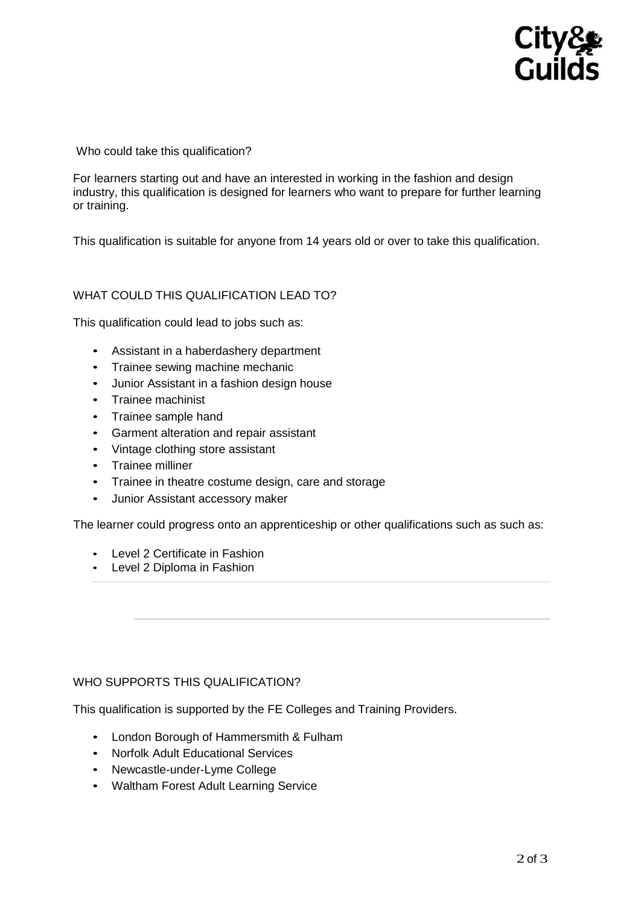# **City&<br>Guilds**

Who could take this qualification?

For learners starting out and have an interested in working in the fashion and design industry, this qualification is designed for learners who want to prepare for further learning or training.

This qualification is suitable for anyone from 14 years old or over to take this qualification.

## WHAT COULD THIS QUALIFICATION LEAD TO?

This qualification could lead to jobs such as:

- Assistant in a haberdashery department
- Trainee sewing machine mechanic
- Junior Assistant in a fashion design house
- Trainee machinist
- Trainee sample hand
- Garment alteration and repair assistant
- Vintage clothing store assistant
- Trainee milliner
- Trainee in theatre costume design, care and storage
- Junior Assistant accessory maker

The learner could progress onto an apprenticeship or other qualifications such as such as:

- Level 2 Certificate in Fashion
- Level 2 Diploma in Fashion

#### WHO SUPPORTS THIS QUALIFICATION?

This qualification is supported by the FE Colleges and Training Providers.

- London Borough of Hammersmith & Fulham
- Norfolk Adult Educational Services
- Newcastle-under-Lyme College
- Waltham Forest Adult Learning Service